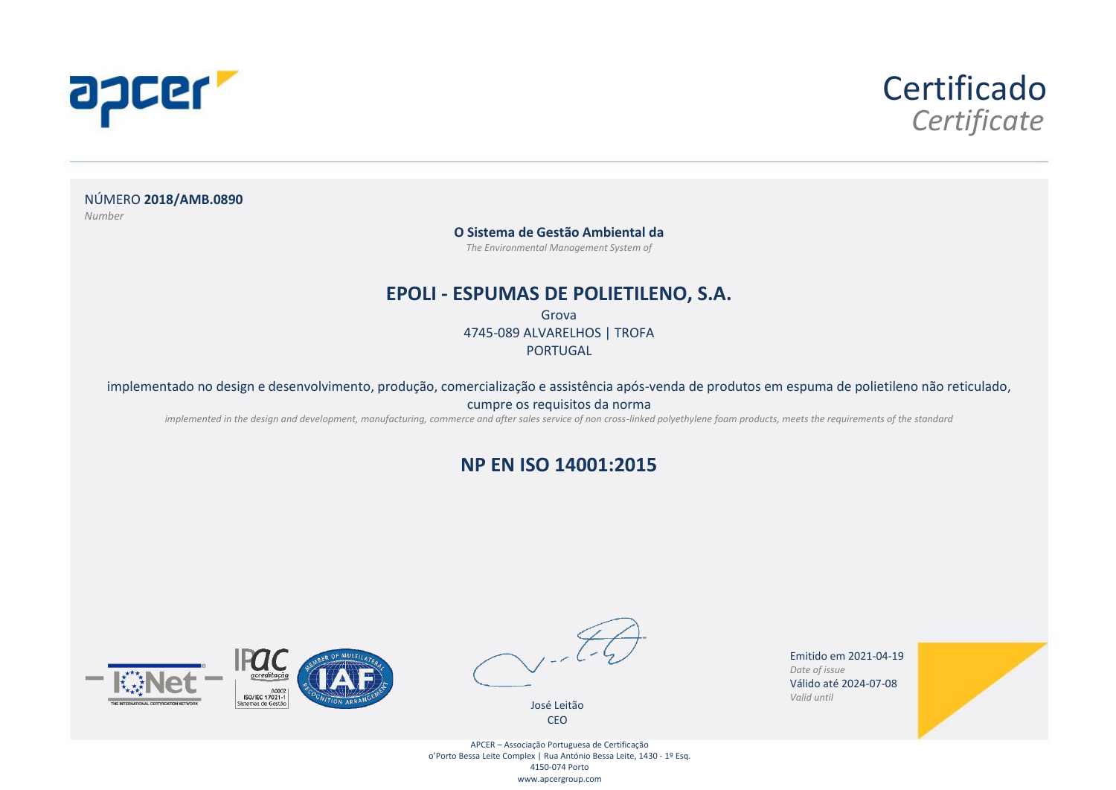



NÚMERO **2018/AMB.0890** *Number*

#### **O Sistema de Gestão Ambiental da**

*The Environmental Management System of*

### **EPOLI - ESPUMAS DE POLIETILENO, S.A.**

Grova 4745-089 ALVARELHOS | TROFA PORTUGAL

implementado no design e desenvolvimento, produção, comercialização e assistência após-venda de produtos em espuma de polietileno não reticulado,

cumpre os requisitos da norma

*implemented in the design and development, manufacturing, commerce and after sales service of non cross-linked polyethylene foam products, meets the requirements of the standard*

### **NP EN ISO 14001:2015**





José Leitão CEO

Emitido em 2021-04-19 *Date of issue* Válido até 2024-07-08 *Valid until*



APCER – Associação Portuguesa de Certificação o'Porto Bessa Leite Complex | Rua António Bessa Leite, 1430 - 1º Esq. 4150-074 Porto www.apcergroup.com